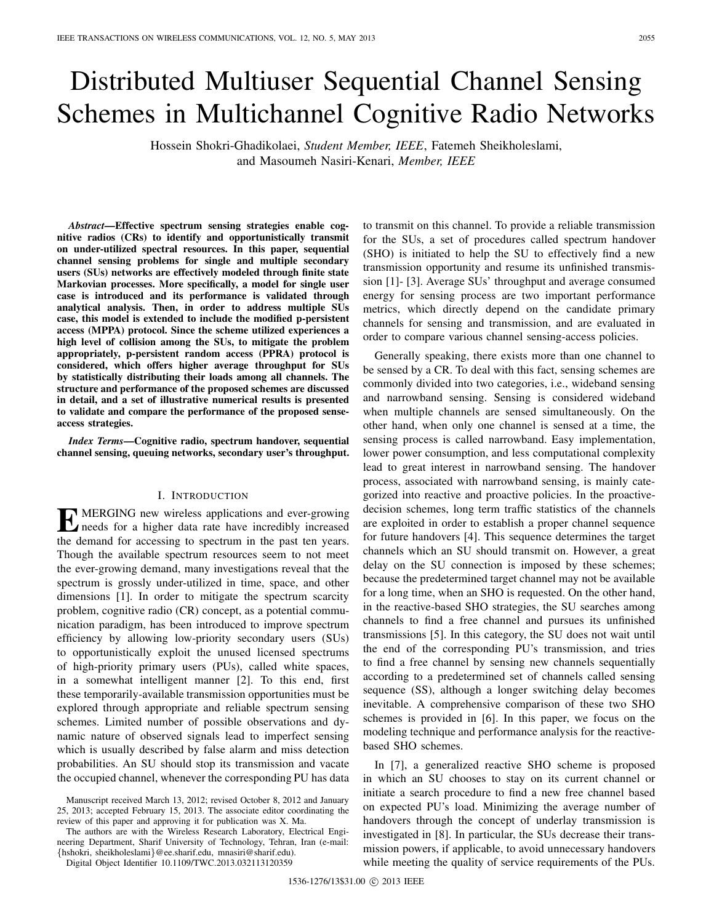# Distributed Multiuser Sequential Channel Sensing Schemes in Multichannel Cognitive Radio Networks

Hossein Shokri-Ghadikolaei, *Student Member, IEEE*, Fatemeh Sheikholeslami, and Masoumeh Nasiri-Kenari, *Member, IEEE*

*Abstract***—Effective spectrum sensing strategies enable cognitive radios (CRs) to identify and opportunistically transmit on under-utilized spectral resources. In this paper, sequential channel sensing problems for single and multiple secondary users (SUs) networks are effectively modeled through finite state Markovian processes. More specifically, a model for single user case is introduced and its performance is validated through analytical analysis. Then, in order to address multiple SUs case, this model is extended to include the modified p-persistent access (MPPA) protocol. Since the scheme utilized experiences a high level of collision among the SUs, to mitigate the problem appropriately, p-persistent random access (PPRA) protocol is considered, which offers higher average throughput for SUs by statistically distributing their loads among all channels. The structure and performance of the proposed schemes are discussed in detail, and a set of illustrative numerical results is presented to validate and compare the performance of the proposed senseaccess strategies.**

*Index Terms***—Cognitive radio, spectrum handover, sequential channel sensing, queuing networks, secondary user's throughput.**

### I. INTRODUCTION

**E** MERGING new wireless applications and ever-growing<br>needs for a higher data rate have incredibly increased the demand for accessing to spectrum in the past ten years. Though the available spectrum resources seem to not meet the ever-growing demand, many investigations reveal that the spectrum is grossly under-utilized in time, space, and other dimensions [1]. In order to mitigate the spectrum scarcity problem, cognitive radio (CR) concept, as a potential communication paradigm, has been introduced to improve spectrum efficiency by allowing low-priority secondary users (SUs) to opportunistically exploit the unused licensed spectrums of high-priority primary users (PUs), called white spaces, in a somewhat intelligent manner [2]. To this end, first these temporarily-available transmission opportunities must be explored through appropriate and reliable spectrum sensing schemes. Limited number of possible observations and dynamic nature of observed signals lead to imperfect sensing which is usually described by false alarm and miss detection probabilities. An SU should stop its transmission and vacate the occupied channel, whenever the corresponding PU has data

The authors are with the Wireless Research Laboratory, Electrical Engineering Department, Sharif University of Technology, Tehran, Iran (e-mail: {hshokri, sheikholeslami}@ee.sharif.edu, mnasiri@sharif.edu).

Digital Object Identifier 10.1109/TWC.2013.032113120359

to transmit on this channel. To provide a reliable transmission for the SUs, a set of procedures called spectrum handover (SHO) is initiated to help the SU to effectively find a new transmission opportunity and resume its unfinished transmission [1]- [3]. Average SUs' throughput and average consumed energy for sensing process are two important performance metrics, which directly depend on the candidate primary channels for sensing and transmission, and are evaluated in order to compare various channel sensing-access policies.

Generally speaking, there exists more than one channel to be sensed by a CR. To deal with this fact, sensing schemes are commonly divided into two categories, i.e., wideband sensing and narrowband sensing. Sensing is considered wideband when multiple channels are sensed simultaneously. On the other hand, when only one channel is sensed at a time, the sensing process is called narrowband. Easy implementation, lower power consumption, and less computational complexity lead to great interest in narrowband sensing. The handover process, associated with narrowband sensing, is mainly categorized into reactive and proactive policies. In the proactivedecision schemes, long term traffic statistics of the channels are exploited in order to establish a proper channel sequence for future handovers [4]. This sequence determines the target channels which an SU should transmit on. However, a great delay on the SU connection is imposed by these schemes; because the predetermined target channel may not be available for a long time, when an SHO is requested. On the other hand, in the reactive-based SHO strategies, the SU searches among channels to find a free channel and pursues its unfinished transmissions [5]. In this category, the SU does not wait until the end of the corresponding PU's transmission, and tries to find a free channel by sensing new channels sequentially according to a predetermined set of channels called sensing sequence (SS), although a longer switching delay becomes inevitable. A comprehensive comparison of these two SHO schemes is provided in [6]. In this paper, we focus on the modeling technique and performance analysis for the reactivebased SHO schemes.

In [7], a generalized reactive SHO scheme is proposed in which an SU chooses to stay on its current channel or initiate a search procedure to find a new free channel based on expected PU's load. Minimizing the average number of handovers through the concept of underlay transmission is investigated in [8]. In particular, the SUs decrease their transmission powers, if applicable, to avoid unnecessary handovers while meeting the quality of service requirements of the PUs.

Manuscript received March 13, 2012; revised October 8, 2012 and January 25, 2013; accepted February 15, 2013. The associate editor coordinating the review of this paper and approving it for publication was X. Ma.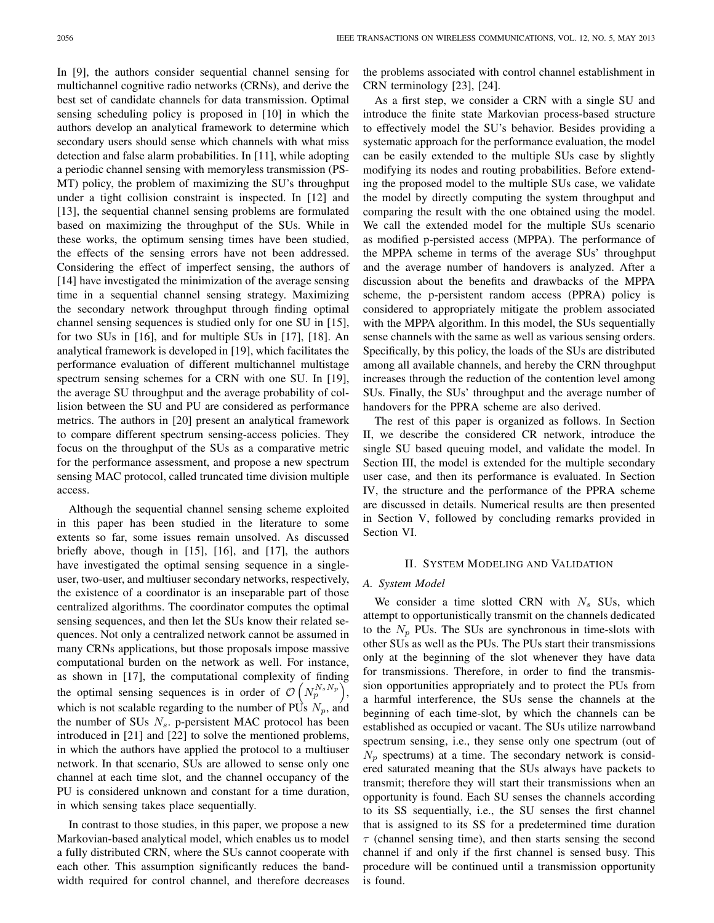In [9], the authors consider sequential channel sensing for multichannel cognitive radio networks (CRNs), and derive the best set of candidate channels for data transmission. Optimal sensing scheduling policy is proposed in [10] in which the authors develop an analytical framework to determine which secondary users should sense which channels with what miss detection and false alarm probabilities. In [11], while adopting a periodic channel sensing with memoryless transmission (PS-MT) policy, the problem of maximizing the SU's throughput under a tight collision constraint is inspected. In [12] and [13], the sequential channel sensing problems are formulated based on maximizing the throughput of the SUs. While in these works, the optimum sensing times have been studied, the effects of the sensing errors have not been addressed. Considering the effect of imperfect sensing, the authors of [14] have investigated the minimization of the average sensing time in a sequential channel sensing strategy. Maximizing the secondary network throughput through finding optimal channel sensing sequences is studied only for one SU in [15], for two SUs in [16], and for multiple SUs in [17], [18]. An analytical framework is developed in [19], which facilitates the performance evaluation of different multichannel multistage spectrum sensing schemes for a CRN with one SU. In [19], the average SU throughput and the average probability of collision between the SU and PU are considered as performance metrics. The authors in [20] present an analytical framework to compare different spectrum sensing-access policies. They focus on the throughput of the SUs as a comparative metric for the performance assessment, and propose a new spectrum sensing MAC protocol, called truncated time division multiple access.

Although the sequential channel sensing scheme exploited in this paper has been studied in the literature to some extents so far, some issues remain unsolved. As discussed briefly above, though in [15], [16], and [17], the authors have investigated the optimal sensing sequence in a singleuser, two-user, and multiuser secondary networks, respectively, the existence of a coordinator is an inseparable part of those centralized algorithms. The coordinator computes the optimal sensing sequences, and then let the SUs know their related sequences. Not only a centralized network cannot be assumed in many CRNs applications, but those proposals impose massive computational burden on the network as well. For instance, as shown in [17], the computational complexity of finding the optimal sensing sequences is in order of  $\mathcal{O}(N_p^{N_s N_p})$ , which is not scalable regarding to the number of PUs  $N_p$ , and the number of SUs  $N_s$ . p-persistent MAC protocol has been introduced in [21] and [22] to solve the mentioned problems, in which the authors have applied the protocol to a multiuser network. In that scenario, SUs are allowed to sense only one channel at each time slot, and the channel occupancy of the PU is considered unknown and constant for a time duration, in which sensing takes place sequentially.

In contrast to those studies, in this paper, we propose a new Markovian-based analytical model, which enables us to model a fully distributed CRN, where the SUs cannot cooperate with each other. This assumption significantly reduces the bandwidth required for control channel, and therefore decreases the problems associated with control channel establishment in CRN terminology [23], [24].

As a first step, we consider a CRN with a single SU and introduce the finite state Markovian process-based structure to effectively model the SU's behavior. Besides providing a systematic approach for the performance evaluation, the model can be easily extended to the multiple SUs case by slightly modifying its nodes and routing probabilities. Before extending the proposed model to the multiple SUs case, we validate the model by directly computing the system throughput and comparing the result with the one obtained using the model. We call the extended model for the multiple SUs scenario as modified p-persisted access (MPPA). The performance of the MPPA scheme in terms of the average SUs' throughput and the average number of handovers is analyzed. After a discussion about the benefits and drawbacks of the MPPA scheme, the p-persistent random access (PPRA) policy is considered to appropriately mitigate the problem associated with the MPPA algorithm. In this model, the SUs sequentially sense channels with the same as well as various sensing orders. Specifically, by this policy, the loads of the SUs are distributed among all available channels, and hereby the CRN throughput increases through the reduction of the contention level among SUs. Finally, the SUs' throughput and the average number of handovers for the PPRA scheme are also derived.

The rest of this paper is organized as follows. In Section II, we describe the considered CR network, introduce the single SU based queuing model, and validate the model. In Section III, the model is extended for the multiple secondary user case, and then its performance is evaluated. In Section IV, the structure and the performance of the PPRA scheme are discussed in details. Numerical results are then presented in Section V, followed by concluding remarks provided in Section VI.

# II. SYSTEM MODELING AND VALIDATION

#### *A. System Model*

We consider a time slotted CRN with  $N_s$  SUs, which attempt to opportunistically transmit on the channels dedicated to the  $N_p$  PUs. The SUs are synchronous in time-slots with other SUs as well as the PUs. The PUs start their transmissions only at the beginning of the slot whenever they have data for transmissions. Therefore, in order to find the transmission opportunities appropriately and to protect the PUs from a harmful interference, the SUs sense the channels at the beginning of each time-slot, by which the channels can be established as occupied or vacant. The SUs utilize narrowband spectrum sensing, i.e., they sense only one spectrum (out of  $N_p$  spectrums) at a time. The secondary network is considered saturated meaning that the SUs always have packets to transmit; therefore they will start their transmissions when an opportunity is found. Each SU senses the channels according to its SS sequentially, i.e., the SU senses the first channel that is assigned to its SS for a predetermined time duration  $\tau$  (channel sensing time), and then starts sensing the second channel if and only if the first channel is sensed busy. This procedure will be continued until a transmission opportunity is found.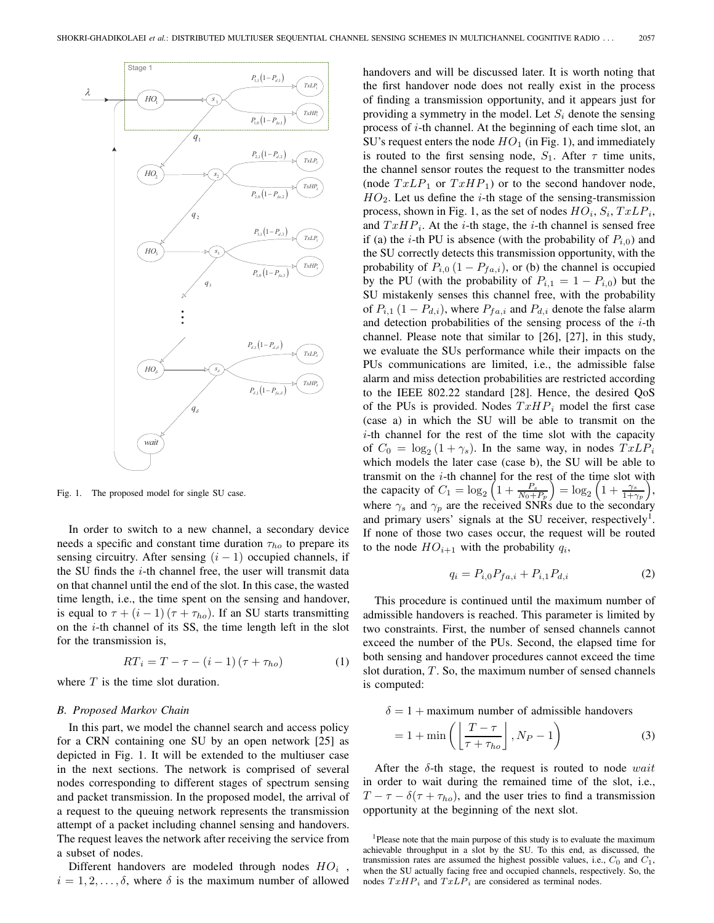

Fig. 1. The proposed model for single SU case.

In order to switch to a new channel, a secondary device needs a specific and constant time duration  $\tau_{ho}$  to prepare its sensing circuitry. After sensing  $(i - 1)$  occupied channels, if the SU finds the  $i$ -th channel free, the user will transmit data on that channel until the end of the slot. In this case, the wasted time length, i.e., the time spent on the sensing and handover, is equal to  $\tau + (i - 1)(\tau + \tau_{ho})$ . If an SU starts transmitting on the  $i$ -th channel of its SS, the time length left in the slot for the transmission is,

$$
RT_i = T - \tau - (i - 1)(\tau + \tau_{ho})
$$
 (1)

where  $T$  is the time slot duration.

## *B. Proposed Markov Chain*

In this part, we model the channel search and access policy for a CRN containing one SU by an open network [25] as depicted in Fig. 1. It will be extended to the multiuser case in the next sections. The network is comprised of several nodes corresponding to different stages of spectrum sensing and packet transmission. In the proposed model, the arrival of a request to the queuing network represents the transmission attempt of a packet including channel sensing and handovers. The request leaves the network after receiving the service from a subset of nodes.

Different handovers are modeled through nodes  $HO_i$ ,  $i = 1, 2, \ldots, \delta$ , where  $\delta$  is the maximum number of allowed handovers and will be discussed later. It is worth noting that the first handover node does not really exist in the process of finding a transmission opportunity, and it appears just for providing a symmetry in the model. Let  $S_i$  denote the sensing process of  $i$ -th channel. At the beginning of each time slot, an SU's request enters the node  $HO_1$  (in Fig. 1), and immediately is routed to the first sensing node,  $S_1$ . After  $\tau$  time units, the channel sensor routes the request to the transmitter nodes (node  $TxLP_1$  or  $TxHP_1$ ) or to the second handover node,  $HO<sub>2</sub>$ . Let us define the *i*-th stage of the sensing-transmission process, shown in Fig. 1, as the set of nodes  $HO_i$ ,  $S_i$ ,  $T x L P_i$ , and  $TxHP_i$ . At the *i*-th stage, the *i*-th channel is sensed free if (a) the *i*-th PU is absence (with the probability of  $P_{i,0}$ ) and the SU correctly detects this transmission opportunity, with the probability of  $P_{i,0}$  (1 –  $P_{fa,i}$ ), or (b) the channel is occupied by the PU (with the probability of  $P_{i,1} = 1 - P_{i,0}$ ) but the SU mistakenly senses this channel free, with the probability of  $P_{i,1}$   $(1 - P_{d,i})$ , where  $P_{fa,i}$  and  $P_{d,i}$  denote the false alarm and detection probabilities of the sensing process of the  $i$ -th channel. Please note that similar to [26], [27], in this study, we evaluate the SUs performance while their impacts on the PUs communications are limited, i.e., the admissible false alarm and miss detection probabilities are restricted according to the IEEE 802.22 standard [28]. Hence, the desired QoS of the PUs is provided. Nodes  $TxHP_i$  model the first case (case a) in which the SU will be able to transmit on the i-th channel for the rest of the time slot with the capacity of  $C_0 = \log_2(1 + \gamma_s)$ . In the same way, in nodes  $TxLP_i$ which models the later case (case b), the SU will be able to transmit on the  $i$ -th channel for the rest of the time slot with the capacity of  $C_1 = \log_2 \left(1 + \frac{P_s}{N_0 + P_p}\right)$ <br>where  $\alpha$  and  $\alpha$  are the resolved SNDs.  $\frac{1082}{1}$  $\left(1+\frac{\gamma_s}{1+\gamma_p}\right),\right)$ where  $\gamma_s$  and  $\gamma_p$  are the received SNRs due to the secondary and primary users' signals at the SU receiver, respectively<sup>1</sup>. If none of those two cases occur, the request will be routed to the node  $HO_{i+1}$  with the probability  $q_i$ ,

$$
q_i = P_{i,0} P_{fa,i} + P_{i,1} P_{d,i} \tag{2}
$$

This procedure is continued until the maximum number of admissible handovers is reached. This parameter is limited by two constraints. First, the number of sensed channels cannot exceed the number of the PUs. Second, the elapsed time for both sensing and handover procedures cannot exceed the time slot duration,  $T$ . So, the maximum number of sensed channels is computed:

 $\delta = 1 +$  maximum number of admissible handovers

$$
=1+\min\left(\left\lfloor\frac{T-\tau}{\tau+\tau_{ho}}\right\rfloor, N_P-1\right) \tag{3}
$$

After the  $\delta$ -th stage, the request is routed to node *wait* in order to wait during the remained time of the slot, i.e.,  $T - \tau - \delta(\tau + \tau_{ho})$ , and the user tries to find a transmission opportunity at the beginning of the next slot.

<sup>&</sup>lt;sup>1</sup>Please note that the main purpose of this study is to evaluate the maximum achievable throughput in a slot by the SU. To this end, as discussed, the transmission rates are assumed the highest possible values, i.e.,  $C_0$  and  $C_1$ , when the SU actually facing free and occupied channels, respectively. So, the nodes  $TxHP_i$  and  $TxLP_i$  are considered as terminal nodes.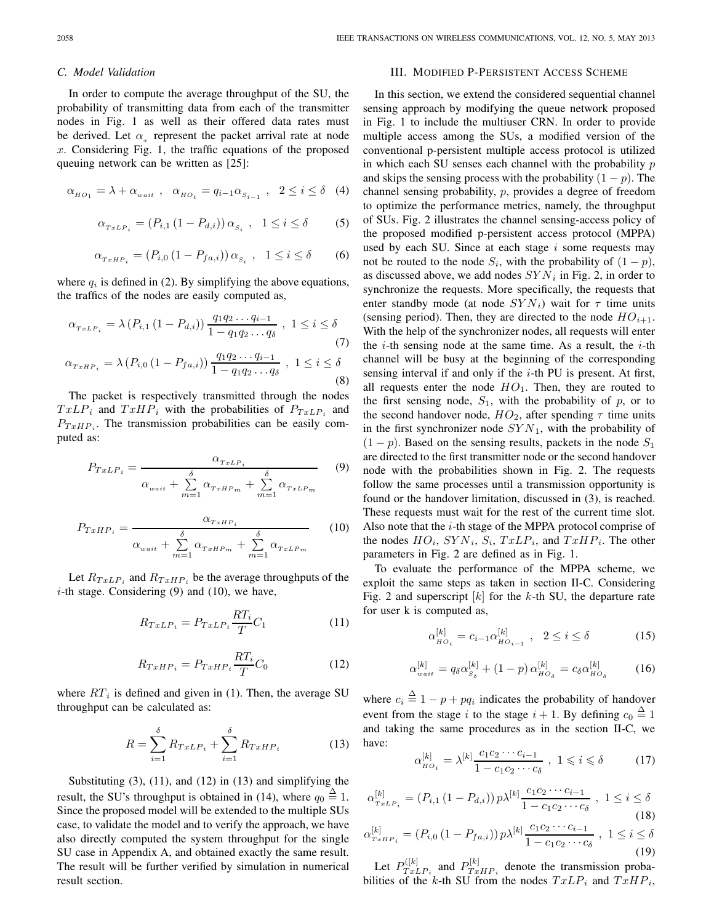# *C. Model Validation*

In order to compute the average throughput of the SU, the probability of transmitting data from each of the transmitter nodes in Fig. 1 as well as their offered data rates must be derived. Let  $\alpha_x$  represent the packet arrival rate at node  $x$ . Considering Fig. 1, the traffic equations of the proposed queuing network can be written as [25]:

$$
\alpha_{HO_1} = \lambda + \alpha_{wait} , \quad \alpha_{HO_i} = q_{i-1}\alpha_{S_{i-1}} , \quad 2 \leq i \leq \delta
$$
 (4)

$$
\alpha_{TxLP_i} = (P_{i,1} (1 - P_{d,i})) \alpha_{S_i} , \quad 1 \le i \le \delta
$$
 (5)

$$
\alpha_{x_{xHP_i}} = (P_{i,0} (1 - P_{fa,i})) \alpha_{s_i} , \quad 1 \le i \le \delta \tag{6}
$$

where  $q_i$  is defined in (2). By simplifying the above equations, the traffics of the nodes are easily computed as,

$$
\alpha_{T x L P_i} = \lambda (P_{i,1} (1 - P_{d,i})) \frac{q_1 q_2 \dots q_{i-1}}{1 - q_1 q_2 \dots q_{\delta}}, \ 1 \le i \le \delta
$$
\n(7)

$$
\alpha_{T x H P_i} = \lambda (P_{i,0} (1 - P_{fa,i})) \frac{q_1 q_2 \dots q_{i-1}}{1 - q_1 q_2 \dots q_\delta} , 1 \le i \le \delta
$$
\n(8)

The packet is respectively transmitted through the nodes  $TxLP_i$  and  $TxHP_i$  with the probabilities of  $P_{TxLP_i}$  and  $P_{T x H P_i}$ . The transmission probabilities can be easily computed as:

$$
P_{T x L P_i} = \frac{\alpha_{T x L P_i}}{\alpha_{wait} + \sum_{m=1}^{\delta} \alpha_{T x H P_m} + \sum_{m=1}^{\delta} \alpha_{T x L P_m}}
$$
(9)

$$
P_{TxHP_i} = \frac{\alpha_{TxHP_i}}{\alpha_{wait} + \sum_{m=1}^{\delta} \alpha_{TxHP_m} + \sum_{m=1}^{\delta} \alpha_{TxLP_m}}
$$
(10)

Let  $R_{T x L P_i}$  and  $R_{T x H P_i}$  be the average throughputs of the  $i$ -th stage. Considering  $(9)$  and  $(10)$ , we have,

$$
R_{T x L P_i} = P_{T x L P_i} \frac{R T_i}{T} C_1 \tag{11}
$$

$$
R_{TxHP_i} = P_{TxHP_i} \frac{RT_i}{T} C_0 \tag{12}
$$

where  $RT_i$  is defined and given in (1). Then, the average SU throughput can be calculated as:

$$
R = \sum_{i=1}^{\delta} R_{TxLP_i} + \sum_{i=1}^{\delta} R_{TxHP_i}
$$
 (13)

Substituting (3), (11), and (12) in (13) and simplifying the result, the SU's throughput is obtained in (14), where  $q_0 \stackrel{\Delta}{=} 1$ .<br>Since the proposed model will be extended to the multiple SUs Since the proposed model will be extended to the multiple SUs case, to validate the model and to verify the approach, we have also directly computed the system throughput for the single SU case in Appendix A, and obtained exactly the same result. The result will be further verified by simulation in numerical result section.

## III. MODIFIED P-PERSISTENT ACCESS SCHEME

In this section, we extend the considered sequential channel sensing approach by modifying the queue network proposed in Fig. 1 to include the multiuser CRN. In order to provide multiple access among the SUs, a modified version of the conventional p-persistent multiple access protocol is utilized in which each SU senses each channel with the probability  $p$ and skips the sensing process with the probability  $(1 - p)$ . The channel sensing probability, p, provides a degree of freedom to optimize the performance metrics, namely, the throughput of SUs. Fig. 2 illustrates the channel sensing-access policy of the proposed modified p-persistent access protocol (MPPA) used by each SU. Since at each stage  $i$  some requests may not be routed to the node  $S_i$ , with the probability of  $(1 - p)$ , as discussed above, we add nodes  $SYN_i$  in Fig. 2, in order to synchronize the requests. More specifically, the requests that enter standby mode (at node  $SYN_i$ ) wait for  $\tau$  time units (sensing period). Then, they are directed to the node  $HO_{i+1}$ . With the help of the synchronizer nodes, all requests will enter the  $i$ -th sensing node at the same time. As a result, the  $i$ -th channel will be busy at the beginning of the corresponding sensing interval if and only if the  $i$ -th PU is present. At first, all requests enter the node  $HO_1$ . Then, they are routed to the first sensing node,  $S_1$ , with the probability of p, or to the second handover node,  $HO_2$ , after spending  $\tau$  time units in the first synchronizer node  $SYN_1$ , with the probability of  $(1 - p)$ . Based on the sensing results, packets in the node  $S_1$ are directed to the first transmitter node or the second handover node with the probabilities shown in Fig. 2. The requests follow the same processes until a transmission opportunity is found or the handover limitation, discussed in (3), is reached. These requests must wait for the rest of the current time slot. Also note that the *i*-th stage of the MPPA protocol comprise of the nodes  $HO_i$ ,  $SYN_i$ ,  $S_i$ ,  $TxLP_i$ , and  $TxHP_i$ . The other parameters in Fig. 2 are defined as in Fig. 1.

To evaluate the performance of the MPPA scheme, we exploit the same steps as taken in section II-C. Considering Fig. 2 and superscript  $[k]$  for the k-th SU, the departure rate for user k is computed as,

$$
\alpha_{HO_i}^{[k]} = c_{i-1} \alpha_{HO_{i-1}}^{[k]}, \quad 2 \le i \le \delta \tag{15}
$$

$$
\alpha_{\text{wait}}^{[k]} = q_{\delta} \alpha_{\text{S}_{\delta}}^{[k]} + (1 - p) \alpha_{\text{HO}_{\delta}}^{[k]} = c_{\delta} \alpha_{\text{HO}_{\delta}}^{[k]} \tag{16}
$$

where  $c_i \stackrel{\Delta}{=} 1 - p + pq_i$  indicates the probability of handover event from the stage i to the stage  $i + 1$ . By defining  $c_0 \stackrel{\Delta}{=}$ <br>and taking the same procedures as in the section ILC and taking the same procedures as in the section II-C, we have:

$$
\alpha_{_{HO_i}}^{[k]} = \lambda^{[k]} \frac{c_1 c_2 \cdots c_{i-1}}{1 - c_1 c_2 \cdots c_{\delta}} , \quad 1 \leq i \leq \delta \tag{17}
$$

$$
\alpha_{_{TxLP_i}}^{[k]} = (P_{i,1} (1 - P_{d,i})) p \lambda^{[k]} \frac{c_1 c_2 \cdots c_{i-1}}{1 - c_1 c_2 \cdots c_{\delta}}, \ 1 \le i \le \delta
$$
\n(18)

$$
\alpha_{T x H P_i}^{[k]} = (P_{i,0} (1 - P_{fa,i})) p \lambda^{[k]} \frac{c_1 c_2 \cdots c_{i-1}}{1 - c_1 c_2 \cdots c_{\delta}}, \ 1 \le i \le \delta
$$
\n(19)

Let  $P_{T x L P_i}^{[k]}$  and  $P_{T x H P_i}^{[k]}$  denote the transmission probabilities of the k-th SU from the nodes  $TxLP_i$  and  $TxHP_i$ ,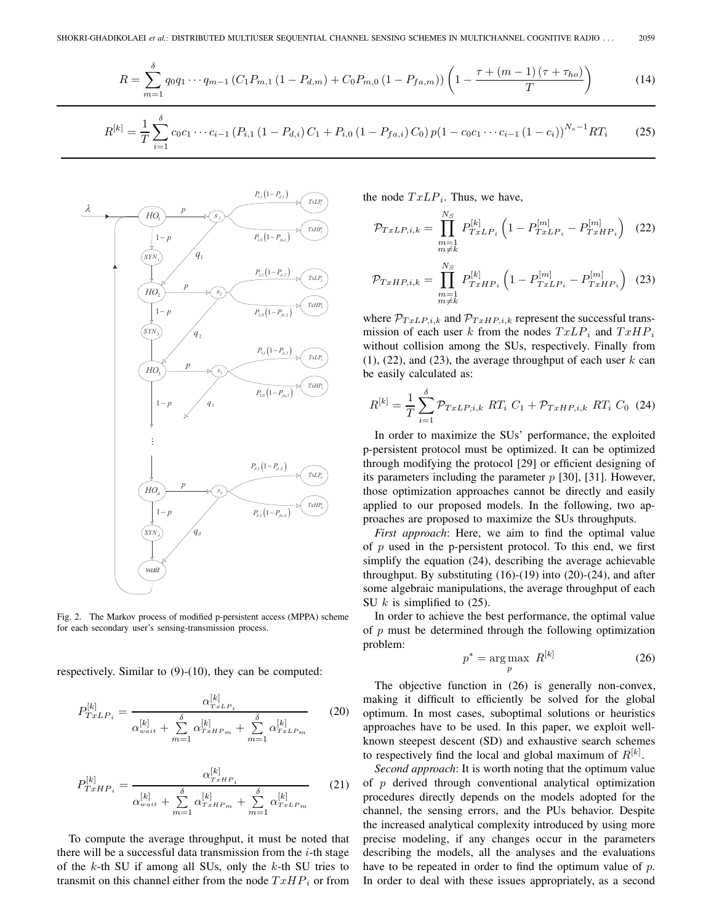$$
R = \sum_{m=1}^{\delta} q_0 q_1 \cdots q_{m-1} \left( C_1 P_{m,1} \left( 1 - P_{d,m} \right) + C_0 P_{m,0} \left( 1 - P_{fa,m} \right) \right) \left( 1 - \frac{\tau + (m-1)(\tau + \tau_{ho})}{T} \right)
$$
(14)  

$$
R^{[k]} = \frac{1}{T} \sum_{i=1}^{\delta} c_0 c_1 \cdots c_{i-1} \left( P_{i,1} \left( 1 - P_{d,i} \right) C_1 + P_{i,0} \left( 1 - P_{fa,i} \right) C_0 \right) p \left( 1 - c_0 c_1 \cdots c_{i-1} \left( 1 - c_i \right) \right)^{N_s - 1} R T_i
$$
(25)



Fig. 2. The Markov process of modified p-persistent access (MPPA) scheme for each secondary user's sensing-transmission process.

respectively. Similar to (9)-(10), they can be computed:

$$
P_{T x L P_i}^{[k]} = \frac{\alpha_{T x L P_i}^{[k]}}{\alpha_{w a i t}^{[k]} + \sum_{m=1}^{\delta} \alpha_{T x H P_m}^{[k]} + \sum_{m=1}^{\delta} \alpha_{T x L P_m}^{[k]}} \qquad (20)
$$

$$
P_{TxHP_i}^{[k]} = \frac{\alpha_{TxHP_i}^{[k]}}{\alpha_{wait}^{[k]} + \sum_{m=1}^{\delta} \alpha_{TxHP_m}^{[k]} + \sum_{m=1}^{\delta} \alpha_{TxLP_m}^{[k]}} \qquad (21)
$$

To compute the average throughput, it must be noted that there will be a successful data transmission from the  $i$ -th stage of the  $k$ -th SU if among all SUs, only the  $k$ -th SU tries to transmit on this channel either from the node  $TxHP_i$  or from the node  $TxLP_i$ . Thus, we have,

$$
\mathcal{P}_{T x L P, i,k} = \prod_{\substack{m=1 \\ m \neq k}}^{N_S} P_{T x L P_i}^{[k]} \left( 1 - P_{T x L P_i}^{[m]} - P_{T x H P_i}^{[m]} \right) \tag{22}
$$

$$
\mathcal{P}_{TxHP,i,k} = \prod_{\substack{m=1\\m \neq k}}^{N_S} P_{TxHP_i}^{[k]} \left( 1 - P_{TxLP_i}^{[m]} - P_{TxHP_i}^{[m]} \right) (23)
$$

where  $\mathcal{P}_{T x L P, i,k}$  and  $\mathcal{P}_{T x H P, i,k}$  represent the successful transmission of each user k from the nodes  $TxLP_i$  and  $TxHP_i$ without collision among the SUs, respectively. Finally from  $(1)$ ,  $(22)$ , and  $(23)$ , the average throughput of each user k can be easily calculated as:

$$
R^{[k]} = \frac{1}{T} \sum_{i=1}^{\delta} \mathcal{P}_{TxLP,i,k} \ RT_i \ C_1 + \mathcal{P}_{TxHP,i,k} \ RT_i \ C_0 \tag{24}
$$

In order to maximize the SUs' performance, the exploited p-persistent protocol must be optimized. It can be optimized through modifying the protocol [29] or efficient designing of its parameters including the parameter  $p$  [30], [31]. However, those optimization approaches cannot be directly and easily applied to our proposed models. In the following, two approaches are proposed to maximize the SUs throughputs.

*First approach*: Here, we aim to find the optimal value of  $p$  used in the p-persistent protocol. To this end, we first simplify the equation (24), describing the average achievable throughput. By substituting  $(16)-(19)$  into  $(20)-(24)$ , and after some algebraic manipulations, the average throughput of each SU  $k$  is simplified to (25).

In order to achieve the best performance, the optimal value of  $p$  must be determined through the following optimization problem:

$$
p^* = \underset{p}{\text{arg}\max} \ R^{[k]} \tag{26}
$$

The objective function in (26) is generally non-convex, making it difficult to efficiently be solved for the global optimum. In most cases, suboptimal solutions or heuristics approaches have to be used. In this paper, we exploit wellknown steepest descent (SD) and exhaustive search schemes to respectively find the local and global maximum of  $R^{[k]}$ .

*Second approach*: It is worth noting that the optimum value of  $p$  derived through conventional analytical optimization procedures directly depends on the models adopted for the channel, the sensing errors, and the PUs behavior. Despite the increased analytical complexity introduced by using more precise modeling, if any changes occur in the parameters describing the models, all the analyses and the evaluations have to be repeated in order to find the optimum value of p. In order to deal with these issues appropriately, as a second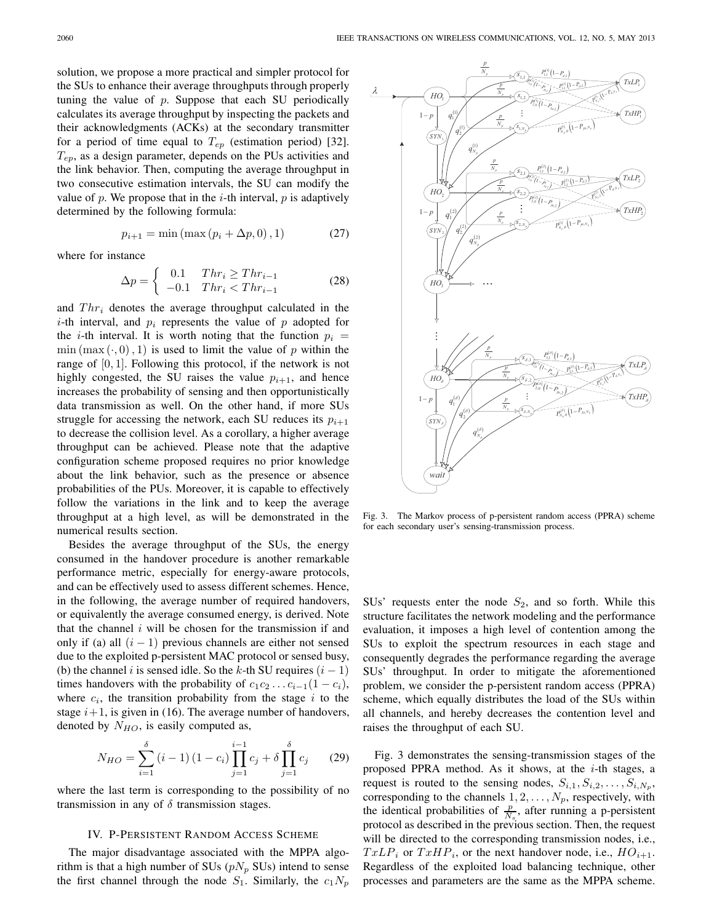λ

solution, we propose a more practical and simpler protocol for the SUs to enhance their average throughputs through properly tuning the value of  $p$ . Suppose that each SU periodically calculates its average throughput by inspecting the packets and their acknowledgments (ACKs) at the secondary transmitter for a period of time equal to  $T_{ep}$  (estimation period) [32].  $T_{en}$ , as a design parameter, depends on the PUs activities and the link behavior. Then, computing the average throughput in two consecutive estimation intervals, the SU can modify the value of p. We propose that in the  $i$ -th interval, p is adaptively determined by the following formula:

$$
p_{i+1} = \min(\max(p_i + \Delta p, 0), 1)
$$
 (27)

where for instance

$$
\Delta p = \begin{cases} 0.1 & \text{Thr}_i \geq \text{Thr}_{i-1} \\ -0.1 & \text{Thr}_i < \text{Thr}_{i-1} \end{cases} \tag{28}
$$

and  $Thr_i$  denotes the average throughput calculated in the *i*-th interval, and  $p_i$  represents the value of p adopted for the *i*-th interval. It is worth noting that the function  $p_i$  =  $\min(\max(\cdot, 0), 1)$  is used to limit the value of p within the range of  $[0, 1]$ . Following this protocol, if the network is not highly congested, the SU raises the value  $p_{i+1}$ , and hence increases the probability of sensing and then opportunistically data transmission as well. On the other hand, if more SUs struggle for accessing the network, each SU reduces its  $p_{i+1}$ to decrease the collision level. As a corollary, a higher average throughput can be achieved. Please note that the adaptive configuration scheme proposed requires no prior knowledge about the link behavior, such as the presence or absence probabilities of the PUs. Moreover, it is capable to effectively follow the variations in the link and to keep the average throughput at a high level, as will be demonstrated in the numerical results section.

Besides the average throughput of the SUs, the energy consumed in the handover procedure is another remarkable performance metric, especially for energy-aware protocols, and can be effectively used to assess different schemes. Hence, in the following, the average number of required handovers, or equivalently the average consumed energy, is derived. Note that the channel  $i$  will be chosen for the transmission if and only if (a) all  $(i - 1)$  previous channels are either not sensed due to the exploited p-persistent MAC protocol or sensed busy, (b) the channel i is sensed idle. So the k-th SU requires  $(i - 1)$ times handovers with the probability of  $c_1c_2 \ldots c_{i-1}(1 - c_i)$ , where  $c_i$ , the transition probability from the stage  $i$  to the stage  $i+1$ , is given in (16). The average number of handovers, denoted by  $N_{HO}$ , is easily computed as,

$$
N_{HO} = \sum_{i=1}^{\delta} (i-1)(1-c_i) \prod_{j=1}^{i-1} c_j + \delta \prod_{j=1}^{\delta} c_j \qquad (29)
$$

where the last term is corresponding to the possibility of no transmission in any of  $\delta$  transmission stages.

## IV. P-PERSISTENT RANDOM ACCESS SCHEME

The major disadvantage associated with the MPPA algorithm is that a high number of SUs  $(pN_p$  SUs) intend to sense the first channel through the node  $S_1$ . Similarly, the  $c_1N_p$ 



SUs' requests enter the node  $S_2$ , and so forth. While this structure facilitates the network modeling and the performance evaluation, it imposes a high level of contention among the SUs to exploit the spectrum resources in each stage and consequently degrades the performance regarding the average SUs' throughput. In order to mitigate the aforementioned problem, we consider the p-persistent random access (PPRA) scheme, which equally distributes the load of the SUs within all channels, and hereby decreases the contention level and raises the throughput of each SU.

Fig. 3 demonstrates the sensing-transmission stages of the proposed PPRA method. As it shows, at the  $i$ -th stages, a request is routed to the sensing nodes,  $S_{i,1}, S_{i,2}, \ldots, S_{i,N_n}$ , corresponding to the channels  $1, 2, \ldots, N_p$ , respectively, with the identical probabilities of  $\frac{p}{N_s}$ , after running a p-persistent protocol as described in the previous section. Then, the request will be directed to the corresponding transmission nodes, i.e.,  $T x L P_i$  or  $T x H P_i$ , or the next handover node, i.e.,  $H O_{i+1}$ . Regardless of the exploited load balancing technique, other processes and parameters are the same as the MPPA scheme.

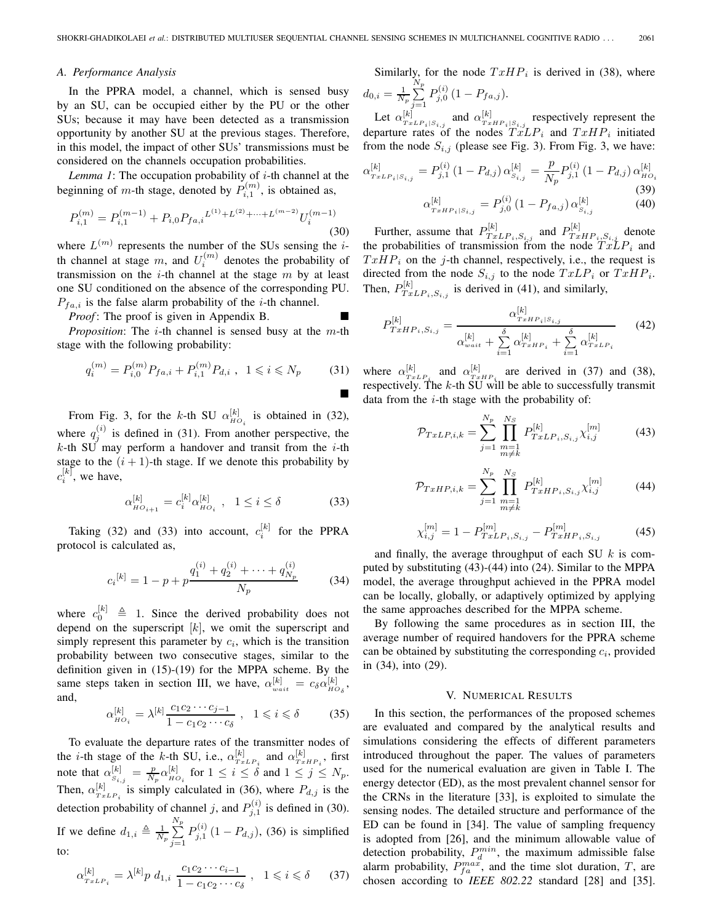#### *A. Performance Analysis*

In the PPRA model, a channel, which is sensed busy by an SU, can be occupied either by the PU or the other SUs; because it may have been detected as a transmission opportunity by another SU at the previous stages. Therefore, in this model, the impact of other SUs' transmissions must be considered on the channels occupation probabilities.

*Lemma 1*: The occupation probability of  $i$ -th channel at the beginning of *m*-th stage, denoted by  $P_{i,1}^{(m)}$ , is obtained as,

$$
P_{i,1}^{(m)} = P_{i,1}^{(m-1)} + P_{i,0} P_{fa,i} L^{(1)} + L^{(2)} + \dots + L^{(m-2)} U_i^{(m-1)}
$$
(30)

where  $L^{(m)}$  represents the number of the SUs sensing the *i*th channel at stage m, and  $U_i^{(m)}$  denotes the probability of transmission on the  $i$ -th channel at the stage  $m$  by at least one SU conditioned on the absence of the corresponding PU.  $P_{fa,i}$  is the false alarm probability of the *i*-th channel.

*Proof*: The proof is given in Appendix B.

*Proposition*: The *i*-th channel is sensed busy at the *m*-th stage with the following probability:

$$
q_i^{(m)} = P_{i,0}^{(m)} P_{fa,i} + P_{i,1}^{(m)} P_{d,i} , \quad 1 \le i \le N_p \tag{31}
$$

From Fig. 3, for the k-th SU  $\alpha_{HO_i}^{[k]}$  is obtained in (32), where  $q_i^{(i)}$  is defined in (31). From another perspective, the  $k$ -th SU may perform a handover and transit from the *i*-th stage to the  $(i + 1)$ -th stage. If we denote this probability by  $c_i^{[k]}$ , we have,

$$
\alpha_{HO_{i+1}}^{[k]} = c_i^{[k]} \alpha_{HO_i}^{[k]}, \quad 1 \le i \le \delta \tag{33}
$$

Taking (32) and (33) into account,  $c_i^{[k]}$  for the PPRA protocol is calculated as,

$$
c_i^{[k]} = 1 - p + p \frac{q_1^{(i)} + q_2^{(i)} + \dots + q_{N_p}^{(i)}}{N_p}
$$
 (34)

where  $c_0^{[k]} \triangleq 1$ . Since the derived probability does not depend on the superscript  $[k]$  we omit the superscript and depend on the superscript  $[k]$ , we omit the superscript and simply represent this parameter by  $c_i$ , which is the transition probability between two consecutive stages, similar to the definition given in (15)-(19) for the MPPA scheme. By the same steps taken in section III, we have,  $\alpha_{wait}^{[k]} = c_{\delta} \alpha_{HO_{\delta}}^{[k]},$ and,

$$
\alpha_{_{HO_i}}^{[k]} = \lambda^{[k]} \frac{c_1 c_2 \cdots c_{j-1}}{1 - c_1 c_2 \cdots c_{\delta}} , \quad 1 \leqslant i \leqslant \delta \tag{35}
$$

To evaluate the departure rates of the transmitter nodes of the *i*-th stage of the *k*-th SU, i.e.,  $\alpha_{T x L P_i}^{[k]}$  and  $\alpha_{T x H P_i}^{[k]}$ , first note that  $\alpha_{s_{i,j}}^{[k]} = \frac{p}{N_p} \alpha_{HO_i}^{[k]}$  for  $1 \le i \le \delta$  and  $1 \le j \le N_p$ .<br>Then,  $\alpha_{T x L P_i}^{[k]}$  is simply calculated in (36), where  $P_{d,j}$  is the detection probability of channel j, and  $P_{j,1}^{(i)}$  is defined in (30). If we define  $d_{1,i} \triangleq \frac{1}{N_p}$  $\sum_{i=1}^{N_p}$  $\sum_{j=1}$  $P_{j,1}^{(i)}$   $(1 - P_{d,j})$ , (36) is simplified to:

$$
\alpha_{T x L P_i}^{[k]} = \lambda^{[k]} p \ d_{1,i} \ \frac{c_1 c_2 \cdots c_{i-1}}{1 - c_1 c_2 \cdots c_{\delta}} \ , \ \ 1 \leq i \leq \delta \qquad (37)
$$

Similarly, for the node  $TxHP_i$  is derived in (38), where  $d_{0,i} = \frac{1}{N_p}$  $\sum_{i=1}^{N_p}$  $\sum_{j=1}$  $P_{j,0}^{(i)}(1-P_{fa,j}).$ 

Let  $\alpha_{x_{xLP_i|S_{i,j}}}^{[k]}$  and  $\alpha_{x_{xHP_i|S_{i,j}}}^{[k]}$  respectively represent the departure rates of the nodes  $T x L P_i$  and  $T x H P_i$  initiated from the node  $S_{i,j}$  (please see Fig. 3). From Fig. 3, we have:

$$
\alpha_{_{TxLP_i|S_{i,j}}}^{[k]} = P_{j,1}^{(i)} \left(1 - P_{d,j}\right) \alpha_{_{S_{i,j}}}^{[k]} = \frac{p}{N_p} P_{j,1}^{(i)} \left(1 - P_{d,j}\right) \alpha_{_{HO_i}}^{[k]} \tag{39}
$$

 $\epsilon$ 

$$
x_{T x H P_i | S_{i,j}}^{[k]} = P_{j,0}^{(i)} \left( 1 - P_{f a,j} \right) \alpha_{S_{i,j}}^{[k]} \tag{40}
$$

Further, assume that  $P^{[k]}_{T x L P_i, S_{i,j}}$  and  $P^{[k]}_{T x H P_i, S_{i,j}}$  denote the probabilities of transmission from the node  $TxLP_i$  and  $TxHP_i$  on the j-th channel, respectively, i.e., the request is directed from the node  $S_{i,j}$  to the node  $TxLP_i$  or  $TxHP_i$ . Then,  $P_{T x L P_i, S_{i,j}}^{[k]}$  is derived in (41), and similarly,

$$
P_{TxHP_i, S_{i,j}}^{[k]} = \frac{\alpha_{TxHP_i|S_{i,j}}^{[k]}}{\alpha_{wait}^{[k]} + \sum_{i=1}^{\delta} \alpha_{TxHP_i}^{[k]} + \sum_{i=1}^{\delta} \alpha_{TxLP_i}^{[k]}} \qquad (42)
$$

where  $\alpha_{T_x L P_x}^{[k]}$  and  $\alpha_{T_x H P_y}^{[k]}$  are derived in (37) and (38), respectively. The k-th  $SU$  will be able to successfully transmit data from the  $i$ -th stage with the probability of:

$$
\mathcal{P}_{T x L P, i,k} = \sum_{j=1}^{N_p} \prod_{\substack{m=1 \ m \neq k}}^{N_S} P_{T x L P_i, S_{i,j}}^{[k]} \chi_{i,j}^{[m]} \tag{43}
$$

$$
\mathcal{P}_{TxHP,i,k} = \sum_{j=1}^{N_p} \prod_{\substack{m=1 \ m \neq k}}^{N_S} P_{TxHP_i, S_{i,j}}^{[k]} \chi_{i,j}^{[m]} \tag{44}
$$

$$
\chi_{i,j}^{[m]} = 1 - P_{T x L P_i, S_{i,j}}^{[m]} - P_{T x H P_i, S_{i,j}}^{[m]} \tag{45}
$$

and finally, the average throughput of each SU  $k$  is computed by substituting (43)-(44) into (24). Similar to the MPPA model, the average throughput achieved in the PPRA model can be locally, globally, or adaptively optimized by applying the same approaches described for the MPPA scheme.

By following the same procedures as in section III, the average number of required handovers for the PPRA scheme can be obtained by substituting the corresponding  $c_i$ , provided in (34), into (29).

#### V. NUMERICAL RESULTS

In this section, the performances of the proposed schemes are evaluated and compared by the analytical results and simulations considering the effects of different parameters introduced throughout the paper. The values of parameters used for the numerical evaluation are given in Table I. The energy detector (ED), as the most prevalent channel sensor for the CRNs in the literature [33], is exploited to simulate the sensing nodes. The detailed structure and performance of the ED can be found in [34]. The value of sampling frequency is adopted from [26], and the minimum allowable value of detection probability,  $P_d^{min}$ , the maximum admissible false alarm probability,  $P_{fa}^{max}$ , and the time slot duration, T, are chosen according to *IEEE 802.22* standard [28] and [35].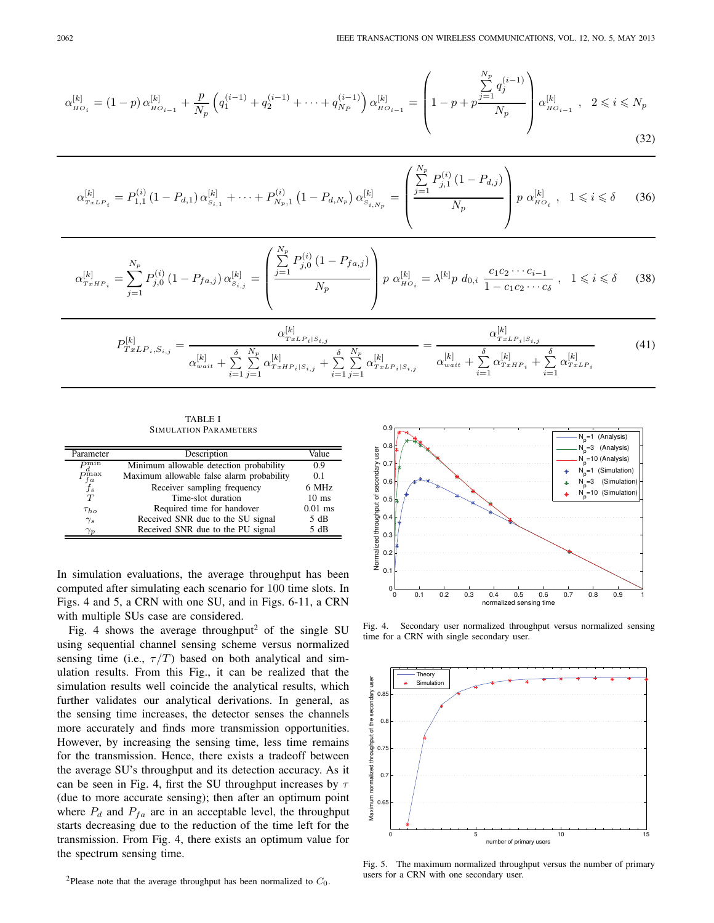$$
\alpha_{HO_i}^{[k]} = (1-p) \alpha_{HO_{i-1}}^{[k]} + \frac{p}{N_p} \left( q_1^{(i-1)} + q_2^{(i-1)} + \dots + q_{N_P}^{(i-1)} \right) \alpha_{HO_{i-1}}^{[k]} = \left( 1 - p + p \frac{\sum\limits_{j=1}^{N_p} q_j^{(i-1)}}{N_p} \right) \alpha_{HO_{i-1}}^{[k]}, \quad 2 \le i \le N_p
$$
\n(32)

$$
\alpha_{T x L P_i}^{[k]} = P_{1,1}^{(i)} \left(1 - P_{d,1}\right) \alpha_{S_{i,1}}^{[k]} + \dots + P_{N_p,1}^{(i)} \left(1 - P_{d,N_p}\right) \alpha_{S_{i,N_p}}^{[k]} = \left(\frac{\sum_{j=1}^{N_p} P_{j,1}^{(i)} \left(1 - P_{d,j}\right)}{N_p}\right) p \alpha_{H O_i}^{[k]}, \quad 1 \leq i \leq \delta \tag{36}
$$

$$
\alpha_{T x H P_i}^{[k]} = \sum_{j=1}^{N_p} P_{j,0}^{(i)} \left(1 - P_{f a,j}\right) \alpha_{s_{i,j}}^{[k]} = \left(\frac{\sum_{j=1}^{N_p} P_{j,0}^{(i)} \left(1 - P_{f a,j}\right)}{N_p}\right) p \alpha_{H O_i}^{[k]} = \lambda^{[k]} p d_{0,i} \frac{c_1 c_2 \cdots c_{i-1}}{1 - c_1 c_2 \cdots c_{\delta}}, \quad 1 \leq i \leq \delta \tag{38}
$$

$$
P_{TxLP_i,S_{i,j}}^{[k]} = \frac{\alpha_{TxLP_i|S_{i,j}}^{[k]}}{\alpha_{wait}^{[k]} + \sum_{i=1}^{\delta} \sum_{j=1}^{N_p} \alpha_{TxHP_i|S_{i,j}}^{[k]} + \sum_{i=1}^{\delta} \sum_{j=1}^{N_p} \alpha_{TxLP_i|S_{i,j}}^{[k]} + \sum_{i=1}^{\delta} \sum_{j=1}^{N_p} \alpha_{TxLP_i|S_{i,j}}^{[k]} + \sum_{i=1}^{\delta} \alpha_{TxHP_i}^{[k]} + \sum_{i=1}^{\delta} \alpha_{TxHP_i}^{[k]} + \sum_{i=1}^{\delta} \alpha_{TxLP_i}^{[k]}} \tag{41}
$$

TABLE I SIMULATION PARAMETERS

| Parameter         | Description                               | $\overline{V}$ alue |
|-------------------|-------------------------------------------|---------------------|
| pmin              | Minimum allowable detection probability   | 0.9                 |
| $P_{fa}^{\max}$   | Maximum allowable false alarm probability | 0.1                 |
| $f_s$             | Receiver sampling frequency               | 6 MHz               |
| T                 | Time-slot duration                        | $10 \text{ ms}$     |
| $\tau_{ho}$       | Required time for handover                | $0.01$ ms           |
| $\gamma_s$        | Received SNR due to the SU signal         | 5 dB                |
| $\gamma_{\bm{p}}$ | Received SNR due to the PU signal         | 5 dB                |

In simulation evaluations, the average throughput has been computed after simulating each scenario for 100 time slots. In Figs. 4 and 5, a CRN with one SU, and in Figs. 6-11, a CRN with multiple SUs case are considered.

Fig. 4 shows the average throughput<sup>2</sup> of the single SU using sequential channel sensing scheme versus normalized sensing time (i.e.,  $\tau/T$ ) based on both analytical and simulation results. From this Fig., it can be realized that the simulation results well coincide the analytical results, which further validates our analytical derivations. In general, as the sensing time increases, the detector senses the channels more accurately and finds more transmission opportunities. However, by increasing the sensing time, less time remains for the transmission. Hence, there exists a tradeoff between the average SU's throughput and its detection accuracy. As it can be seen in Fig. 4, first the SU throughput increases by  $\tau$ (due to more accurate sensing); then after an optimum point where  $P_d$  and  $P_{fa}$  are in an acceptable level, the throughput starts decreasing due to the reduction of the time left for the transmission. From Fig. 4, there exists an optimum value for the spectrum sensing time.



Fig. 4. Secondary user normalized throughput versus normalized sensing time for a CRN with single secondary user.



Fig. 5. The maximum normalized throughput versus the number of primary users for a CRN with one secondary user.

<sup>&</sup>lt;sup>2</sup>Please note that the average throughput has been normalized to  $C_0$ .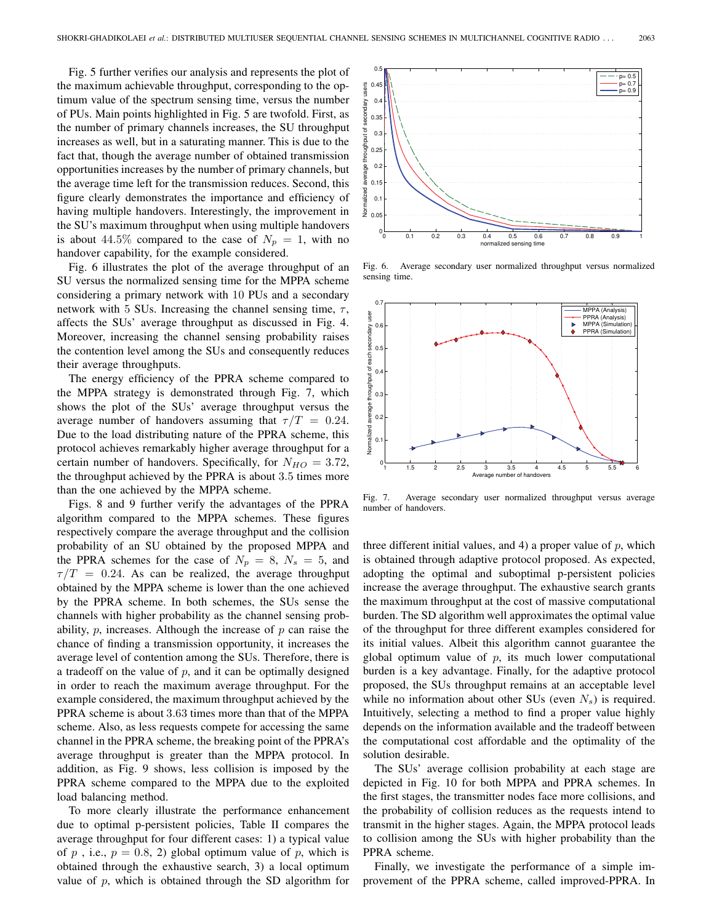Fig. 5 further verifies our analysis and represents the plot of the maximum achievable throughput, corresponding to the optimum value of the spectrum sensing time, versus the number of PUs. Main points highlighted in Fig. 5 are twofold. First, as the number of primary channels increases, the SU throughput increases as well, but in a saturating manner. This is due to the fact that, though the average number of obtained transmission opportunities increases by the number of primary channels, but the average time left for the transmission reduces. Second, this figure clearly demonstrates the importance and efficiency of having multiple handovers. Interestingly, the improvement in the SU's maximum throughput when using multiple handovers is about 44.5% compared to the case of  $N_p = 1$ , with no handover capability, for the example considered.

Fig. 6 illustrates the plot of the average throughput of an SU versus the normalized sensing time for the MPPA scheme considering a primary network with 10 PUs and a secondary network with 5 SUs. Increasing the channel sensing time,  $\tau$ , affects the SUs' average throughput as discussed in Fig. 4. Moreover, increasing the channel sensing probability raises the contention level among the SUs and consequently reduces their average throughputs.

The energy efficiency of the PPRA scheme compared to the MPPA strategy is demonstrated through Fig. 7, which shows the plot of the SUs' average throughput versus the average number of handovers assuming that  $\tau/T = 0.24$ . Due to the load distributing nature of the PPRA scheme, this protocol achieves remarkably higher average throughput for a certain number of handovers. Specifically, for  $N_{HO} = 3.72$ , the throughput achieved by the PPRA is about 3.5 times more than the one achieved by the MPPA scheme.

Figs. 8 and 9 further verify the advantages of the PPRA algorithm compared to the MPPA schemes. These figures respectively compare the average throughput and the collision probability of an SU obtained by the proposed MPPA and the PPRA schemes for the case of  $N_p = 8$ ,  $N_s = 5$ , and  $\tau/T = 0.24$ . As can be realized, the average throughput obtained by the MPPA scheme is lower than the one achieved by the PPRA scheme. In both schemes, the SUs sense the channels with higher probability as the channel sensing probability,  $p$ , increases. Although the increase of  $p$  can raise the chance of finding a transmission opportunity, it increases the average level of contention among the SUs. Therefore, there is a tradeoff on the value of  $p$ , and it can be optimally designed in order to reach the maximum average throughput. For the example considered, the maximum throughput achieved by the PPRA scheme is about 3.63 times more than that of the MPPA scheme. Also, as less requests compete for accessing the same channel in the PPRA scheme, the breaking point of the PPRA's average throughput is greater than the MPPA protocol. In addition, as Fig. 9 shows, less collision is imposed by the PPRA scheme compared to the MPPA due to the exploited load balancing method.

To more clearly illustrate the performance enhancement due to optimal p-persistent policies, Table II compares the average throughput for four different cases: 1) a typical value of p, i.e.,  $p = 0.8, 2$ ) global optimum value of p, which is obtained through the exhaustive search, 3) a local optimum value of  $p$ , which is obtained through the SD algorithm for



Fig. 6. Average secondary user normalized throughput versus normalized sensing time.



Fig. 7. Average secondary user normalized throughput versus average number of handovers.

three different initial values, and 4) a proper value of  $p$ , which is obtained through adaptive protocol proposed. As expected, adopting the optimal and suboptimal p-persistent policies increase the average throughput. The exhaustive search grants the maximum throughput at the cost of massive computational burden. The SD algorithm well approximates the optimal value of the throughput for three different examples considered for its initial values. Albeit this algorithm cannot guarantee the global optimum value of  $p$ , its much lower computational burden is a key advantage. Finally, for the adaptive protocol proposed, the SUs throughput remains at an acceptable level while no information about other SUs (even  $N<sub>s</sub>$ ) is required. Intuitively, selecting a method to find a proper value highly depends on the information available and the tradeoff between the computational cost affordable and the optimality of the solution desirable.

The SUs' average collision probability at each stage are depicted in Fig. 10 for both MPPA and PPRA schemes. In the first stages, the transmitter nodes face more collisions, and the probability of collision reduces as the requests intend to transmit in the higher stages. Again, the MPPA protocol leads to collision among the SUs with higher probability than the PPRA scheme.

Finally, we investigate the performance of a simple improvement of the PPRA scheme, called improved-PPRA. In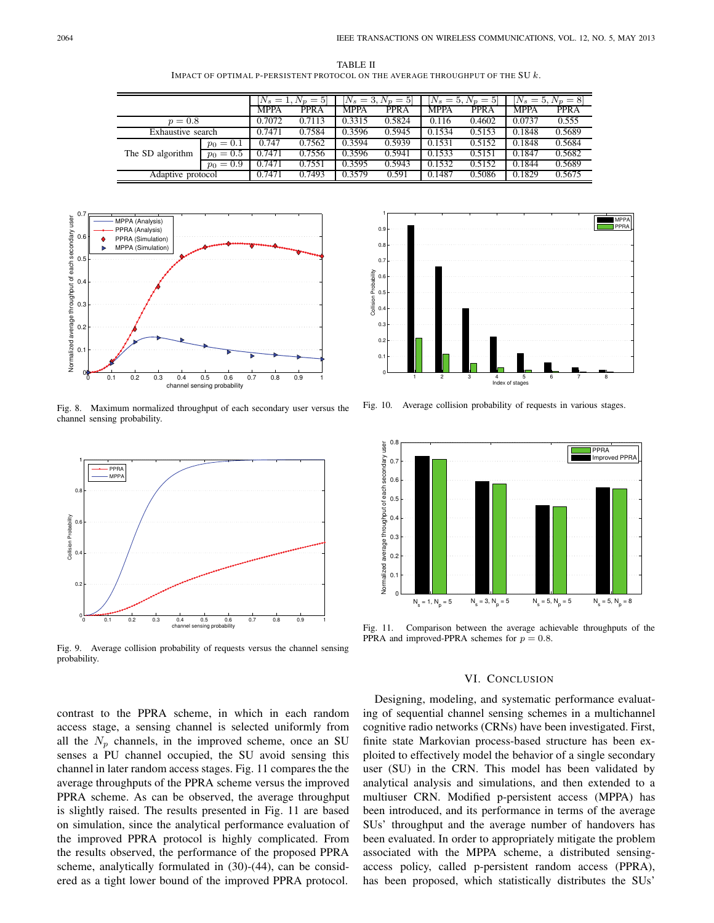TABLE II IMPACT OF OPTIMAL P-PERSISTENT PROTOCOL ON THE AVERAGE THROUGHPUT OF THE SU  $k$ .

|                   |                  | $N_n$       |             | $N_s = 3, N_n$ |             | $[N_s = 5, N_n]$<br>$=5$ |             | $N_s = 5, N_p = 8$ |             |
|-------------------|------------------|-------------|-------------|----------------|-------------|--------------------------|-------------|--------------------|-------------|
|                   |                  | <b>MPPA</b> | <b>PPRA</b> | <b>MPPA</b>    | <b>PPRA</b> | <b>MPPA</b>              | <b>PPRA</b> | <b>MPPA</b>        | <b>PPRA</b> |
| $p = 0.8$         |                  | 0.7072      | 0.7113      | 0.3315         | 0.5824      | 0.116                    | 0.4602      | 0.0737             | 0.555       |
| Exhaustive search |                  | 0.7471      | 0.7584      | 0.3596         | 0.5945      | 0.1534                   | 0.5153      | 0.1848             | 0.5689      |
| The SD algorithm  | $= 0.1$<br>$p_0$ | 0.747       | 0.7562      | 0.3594         | 0.5939      | 0.1531                   | 0.5152      | 0.1848             | 0.5684      |
|                   | $p_0 = 0.5$      | 0.7471      | 0.7556      | 0.3596         | 0.5941      | 0.1533                   | 0.5151      | 0.1847             | 0.5682      |
|                   | $= 0.9$<br>$p_0$ | 0.7471      | 0.7551      | 0.3595         | 0.5943      | 0.1532                   | 0.5152      | 0.1844             | 0.5689      |
| Adaptive protocol |                  | 0.7471      | 0.7493      | 0.3579         | 0.591       | 0.1487                   | 0.5086      | 0.1829             | 0.5675      |



Fig. 8. Maximum normalized throughput of each secondary user versus the channel sensing probability.



Fig. 9. Average collision probability of requests versus the channel sensing probability.

contrast to the PPRA scheme, in which in each random access stage, a sensing channel is selected uniformly from all the  $N_p$  channels, in the improved scheme, once an SU senses a PU channel occupied, the SU avoid sensing this channel in later random access stages. Fig. 11 compares the the average throughputs of the PPRA scheme versus the improved PPRA scheme. As can be observed, the average throughput is slightly raised. The results presented in Fig. 11 are based on simulation, since the analytical performance evaluation of the improved PPRA protocol is highly complicated. From the results observed, the performance of the proposed PPRA scheme, analytically formulated in (30)-(44), can be considered as a tight lower bound of the improved PPRA protocol.



Fig. 10. Average collision probability of requests in various stages.



Fig. 11. Comparison between the average achievable throughputs of the PPRA and improved-PPRA schemes for  $p = 0.8$ .

#### VI. CONCLUSION

Designing, modeling, and systematic performance evaluating of sequential channel sensing schemes in a multichannel cognitive radio networks (CRNs) have been investigated. First, finite state Markovian process-based structure has been exploited to effectively model the behavior of a single secondary user (SU) in the CRN. This model has been validated by analytical analysis and simulations, and then extended to a multiuser CRN. Modified p-persistent access (MPPA) has been introduced, and its performance in terms of the average SUs' throughput and the average number of handovers has been evaluated. In order to appropriately mitigate the problem associated with the MPPA scheme, a distributed sensingaccess policy, called p-persistent random access (PPRA), has been proposed, which statistically distributes the SUs'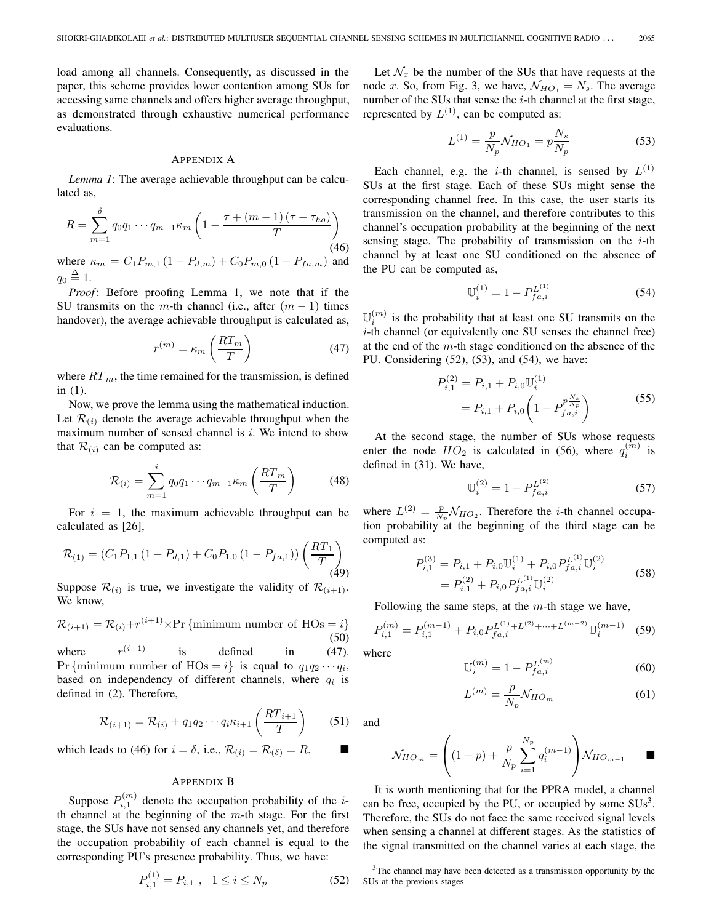load among all channels. Consequently, as discussed in the paper, this scheme provides lower contention among SUs for accessing same channels and offers higher average throughput, as demonstrated through exhaustive numerical performance evaluations.

#### APPENDIX A

*Lemma 1*: The average achievable throughput can be calculated as,

$$
R = \sum_{m=1}^{\delta} q_0 q_1 \cdots q_{m-1} \kappa_m \left( 1 - \frac{\tau + (m-1)(\tau + \tau_{ho})}{T} \right)
$$
\n(46)

where  $\kappa_m = C_1 P_{m,1} (1 - P_{d,m}) + C_0 P_{m,0} (1 - P_{fa,m})$  and  $q_0 \stackrel{\Delta}{=} 1.$ <br>Proo

*Proof*: Before proofing Lemma 1, we note that if the SU transmits on the m-th channel (i.e., after  $(m - 1)$  times handover), the average achievable throughput is calculated as,

$$
r^{(m)} = \kappa_m \left(\frac{RT_m}{T}\right) \tag{47}
$$

where  $RT_m$ , the time remained for the transmission, is defined in (1).

Now, we prove the lemma using the mathematical induction. Let  $\mathcal{R}_{(i)}$  denote the average achievable throughput when the maximum number of sensed channel is  $i$ . We intend to show that  $\mathcal{R}_{(i)}$  can be computed as:

$$
\mathcal{R}_{(i)} = \sum_{m=1}^{i} q_0 q_1 \cdots q_{m-1} \kappa_m \left(\frac{RT_m}{T}\right) \tag{48}
$$

For  $i = 1$ , the maximum achievable throughput can be calculated as [26],

$$
\mathcal{R}_{(1)} = (C_1 P_{1,1} (1 - P_{d,1}) + C_0 P_{1,0} (1 - P_{fa,1})) \left(\frac{RT_1}{T}\right)
$$
\n(49)

Suppose  $\mathcal{R}_{(i)}$  is true, we investigate the validity of  $\mathcal{R}_{(i+1)}$ . We know,

$$
\mathcal{R}_{(i+1)} = \mathcal{R}_{(i)} + r^{(i+1)} \times \Pr \{\text{minimum number of HOs} = i\}
$$
\n(50)

where 
$$
r^{(i+1)}
$$
 is defined in (47).  
Pr {minimum number of HOs = *i*} is equal to  $q_1q_2 \cdots q_i$ ,  
based on independent of different channels, where  $q_i$  is  
defined in (2). Therefore,

$$
\mathcal{R}_{(i+1)} = \mathcal{R}_{(i)} + q_1 q_2 \cdots q_i \kappa_{i+1} \left( \frac{RT_{i+1}}{T} \right) \tag{51}
$$

which leads to (46) for  $i = \delta$ , i.e.,  $\mathcal{R}_{(i)} = \mathcal{R}_{(\delta)} = R$ .

## APPENDIX B

Suppose  $P_{i,1}^{(m)}$  denote the occupation probability of the *i*th channel at the beginning of the  $m$ -th stage. For the first stage, the SUs have not sensed any channels yet, and therefore the occupation probability of each channel is equal to the corresponding PU's presence probability. Thus, we have:

$$
P_{i,1}^{(1)} = P_{i,1} \ , \ \ 1 \le i \le N_p \tag{52}
$$

Let  $\mathcal{N}_x$  be the number of the SUs that have requests at the node x. So, from Fig. 3, we have,  $\mathcal{N}_{HO_1} = N_s$ . The average number of the SUs that sense the i-th channel at the first stage, represented by  $L^{(1)}$ , can be computed as:

$$
L^{(1)} = \frac{p}{N_p} \mathcal{N}_{HO_1} = p \frac{N_s}{N_p}
$$
 (53)

Each channel, e.g. the *i*-th channel, is sensed by  $L^{(1)}$ SUs at the first stage. Each of these SUs might sense the corresponding channel free. In this case, the user starts its transmission on the channel, and therefore contributes to this channel's occupation probability at the beginning of the next sensing stage. The probability of transmission on the  $i$ -th channel by at least one SU conditioned on the absence of the PU can be computed as,

$$
\mathbb{U}_i^{(1)} = 1 - P_{fa,i}^{L^{(1)}} \tag{54}
$$

 $\mathbb{U}_i^{(m)}$  is the probability that at least one SU transmits on the i-th channel (or equivalently one SU senses the channel free) at the end of the m-th stage conditioned on the absence of the PU. Considering (52), (53), and (54), we have:

$$
P_{i,1}^{(2)} = P_{i,1} + P_{i,0} \mathbb{U}_i^{(1)}
$$
  
=  $P_{i,1} + P_{i,0} \left( 1 - P_{fa,i}^{p \frac{N_s}{N_p}} \right)$  (55)

At the second stage, the number of SUs whose requests enter the node  $HO_2$  is calculated in (56), where  $q_i^{(m)}$  is defined in (31). We have,

$$
\mathbb{U}_i^{(2)} = 1 - P_{fa,i}^{L^{(2)}} \tag{57}
$$

where  $L^{(2)} = \frac{p}{N_p} \mathcal{N}_{HO_2}$ . Therefore the *i*-th channel occupation probability at the beginning of the third stage can be tion probability at the beginning of the third stage can be computed as:

$$
P_{i,1}^{(3)} = P_{i,1} + P_{i,0} \mathbb{U}_i^{(1)} + P_{i,0} P_{fa,i}^{L^{(1)}} \mathbb{U}_i^{(2)}
$$
  
=  $P_{i,1}^{(2)} + P_{i,0} P_{fa,i}^{L^{(1)}} \mathbb{U}_i^{(2)}$  (58)

Following the same steps, at the  $m$ -th stage we have,

$$
P_{i,1}^{(m)} = P_{i,1}^{(m-1)} + P_{i,0} P_{fa,i}^{L^{(1)} + L^{(2)} + \dots + L^{(m-2)}} \mathbb{U}_i^{(m-1)}
$$
(59)

where

$$
\mathbb{U}_i^{(m)} = 1 - P_{fa,i}^{L^{(m)}} \tag{60}
$$

$$
L^{(m)} = \frac{p}{N_p} \mathcal{N}_{HO_m} \tag{61}
$$

and

$$
\mathcal{N}_{HO_m} = \left( (1-p) + \frac{p}{N_p} \sum_{i=1}^{N_p} q_i^{(m-1)} \right) \mathcal{N}_{HO_{m-1}} \qquad \blacksquare
$$

It is worth mentioning that for the PPRA model, a channel can be free, occupied by the PU, or occupied by some  $SUs<sup>3</sup>$ . Therefore, the SUs do not face the same received signal levels when sensing a channel at different stages. As the statistics of the signal transmitted on the channel varies at each stage, the

<sup>3</sup>The channel may have been detected as a transmission opportunity by the SUs at the previous stages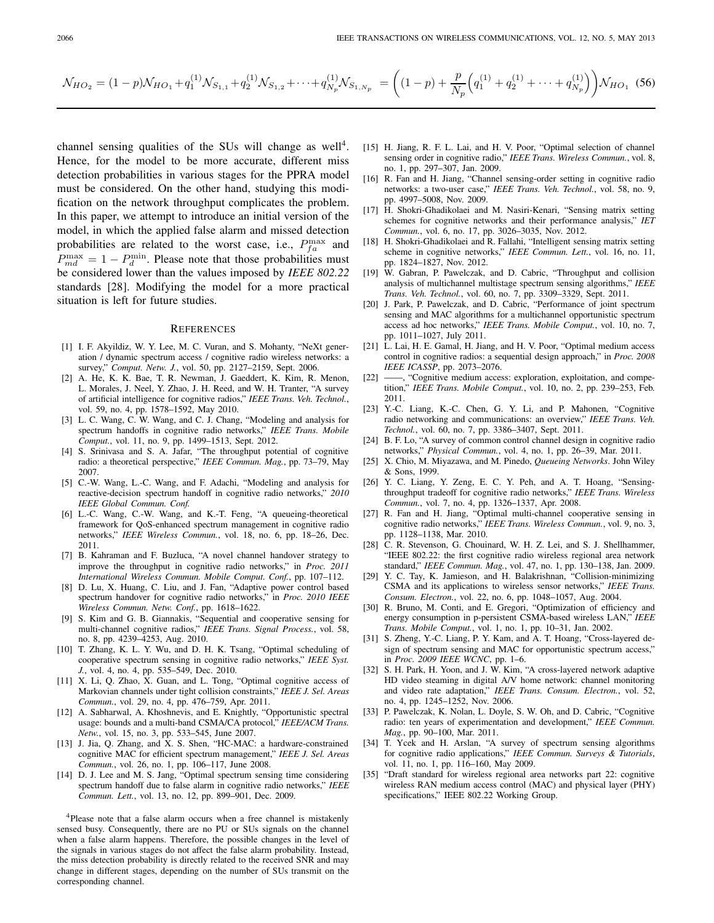$$
\mathcal{N}_{HO_2} = (1-p)\mathcal{N}_{HO_1} + q_1^{(1)}\mathcal{N}_{S_{1,1}} + q_2^{(1)}\mathcal{N}_{S_{1,2}} + \dots + q_{N_p}^{(1)}\mathcal{N}_{S_{1,N_p}} = \left( (1-p) + \frac{p}{N_p} \left( q_1^{(1)} + q_2^{(1)} + \dots + q_{N_p}^{(1)} \right) \right) \mathcal{N}_{HO_1}
$$
 (56)

channel sensing qualities of the SUs will change as well<sup>4</sup>. Hence, for the model to be more accurate, different miss detection probabilities in various stages for the PPRA model must be considered. On the other hand, studying this modification on the network throughput complicates the problem. In this paper, we attempt to introduce an initial version of the model, in which the applied false alarm and missed detection probabilities are related to the worst case, i.e.,  $P_{fa}^{\text{max}}$  and  $P_{rad}^{\text{max}} = 1 - P_d^{\text{min}}$ . Please note that those probabilities must<br>be considered lower than the values imposed by *IEEE 802.22* be considered lower than the values imposed by *IEEE 802.22* standards [28]. Modifying the model for a more practical situation is left for future studies.

#### **REFERENCES**

- [1] I. F. Akyildiz, W. Y. Lee, M. C. Vuran, and S. Mohanty, "NeXt generation / dynamic spectrum access / cognitive radio wireless networks: a survey," *Comput. Netw. J.*, vol. 50, pp. 2127–2159, Sept. 2006.
- [2] A. He, K. K. Bae, T. R. Newman, J. Gaeddert, K. Kim, R. Menon, L. Morales, J. Neel, Y. Zhao, J. H. Reed, and W. H. Tranter, "A survey of artificial intelligence for cognitive radios," *IEEE Trans. Veh. Technol.*, vol. 59, no. 4, pp. 1578–1592, May 2010.
- [3] L. C. Wang, C. W. Wang, and C. J. Chang, "Modeling and analysis for spectrum handoffs in cognitive radio networks," *IEEE Trans. Mobile Comput.*, vol. 11, no. 9, pp. 1499–1513, Sept. 2012.
- [4] S. Srinivasa and S. A. Jafar, "The throughput potential of cognitive radio: a theoretical perspective," *IEEE Commun. Mag.*, pp. 73–79, May 2007.
- [5] C.-W. Wang, L.-C. Wang, and F. Adachi, "Modeling and analysis for reactive-decision spectrum handoff in cognitive radio networks," *2010 IEEE Global Commun. Conf.*
- [6] L.-C. Wang, C.-W. Wang, and K.-T. Feng, "A queueing-theoretical framework for QoS-enhanced spectrum management in cognitive radio networks," *IEEE Wireless Commun.*, vol. 18, no. 6, pp. 18–26, Dec. 2011.
- [7] B. Kahraman and F. Buzluca, "A novel channel handover strategy to improve the throughput in cognitive radio networks," in *Proc. 2011 International Wireless Commun. Mobile Comput. Conf.*, pp. 107–112.
- [8] D. Lu, X. Huang, C. Liu, and J. Fan, "Adaptive power control based spectrum handover for cognitive radio networks," in *Proc. 2010 IEEE Wireless Commun. Netw. Conf.*, pp. 1618–1622.
- [9] S. Kim and G. B. Giannakis, "Sequential and cooperative sensing for multi-channel cognitive radios," *IEEE Trans. Signal Process.*, vol. 58, no. 8, pp. 4239–4253, Aug. 2010.
- [10] T. Zhang, K. L. Y. Wu, and D. H. K. Tsang, "Optimal scheduling of cooperative spectrum sensing in cognitive radio networks," *IEEE Syst. J.*, vol. 4, no. 4, pp. 535–549, Dec. 2010.
- [11] X. Li, Q. Zhao, X. Guan, and L. Tong, "Optimal cognitive access of Markovian channels under tight collision constraints," *IEEE J. Sel. Areas Commun.*, vol. 29, no. 4, pp. 476–759, Apr. 2011.
- [12] A. Sabharwal, A. Khoshnevis, and E. Knightly, "Opportunistic spectral usage: bounds and a multi-band CSMA/CA protocol," *IEEE/ACM Trans. Netw.*, vol. 15, no. 3, pp. 533–545, June 2007.
- [13] J. Jia, Q. Zhang, and X. S. Shen, "HC-MAC: a hardware-constrained cognitive MAC for efficient spectrum management," *IEEE J. Sel. Areas Commun.*, vol. 26, no. 1, pp. 106–117, June 2008.
- [14] D. J. Lee and M. S. Jang, "Optimal spectrum sensing time considering spectrum handoff due to false alarm in cognitive radio networks," *IEEE Commun. Lett.*, vol. 13, no. 12, pp. 899–901, Dec. 2009.

<sup>4</sup>Please note that a false alarm occurs when a free channel is mistakenly sensed busy. Consequently, there are no PU or SUs signals on the channel when a false alarm happens. Therefore, the possible changes in the level of the signals in various stages do not affect the false alarm probability. Instead, the miss detection probability is directly related to the received SNR and may change in different stages, depending on the number of SUs transmit on the corresponding channel.

- [15] H. Jiang, R. F. L. Lai, and H. V. Poor, "Optimal selection of channel sensing order in cognitive radio," *IEEE Trans. Wireless Commun.*, vol. 8, no. 1, pp. 297–307, Jan. 2009.
- [16] R. Fan and H. Jiang, "Channel sensing-order setting in cognitive radio networks: a two-user case," *IEEE Trans. Veh. Technol.*, vol. 58, no. 9, pp. 4997–5008, Nov. 2009.
- [17] H. Shokri-Ghadikolaei and M. Nasiri-Kenari, "Sensing matrix setting schemes for cognitive networks and their performance analysis," *IET Commun.*, vol. 6, no. 17, pp. 3026–3035, Nov. 2012.
- [18] H. Shokri-Ghadikolaei and R. Fallahi, "Intelligent sensing matrix setting scheme in cognitive networks," *IEEE Commun. Lett.*, vol. 16, no. 11, pp. 1824–1827, Nov. 2012.
- [19] W. Gabran, P. Pawelczak, and D. Cabric, "Throughput and collision analysis of multichannel multistage spectrum sensing algorithms," *IEEE Trans. Veh. Technol.*, vol. 60, no. 7, pp. 3309–3329, Sept. 2011.
- [20] J. Park, P. Pawelczak, and D. Cabric, "Performance of joint spectrum sensing and MAC algorithms for a multichannel opportunistic spectrum access ad hoc networks," *IEEE Trans. Mobile Comput.*, vol. 10, no. 7, pp. 1011–1027, July 2011.
- [21] L. Lai, H. E. Gamal, H. Jiang, and H. V. Poor, "Optimal medium access control in cognitive radios: a sequential design approach," in *Proc. 2008 IEEE ICASSP*, pp. 2073–2076.
- [22] ——, "Cognitive medium access: exploration, exploitation, and competition," *IEEE Trans. Mobile Comput.*, vol. 10, no. 2, pp. 239–253, Feb. 2011.
- [23] Y.-C. Liang, K.-C. Chen, G. Y. Li, and P. Mahonen, "Cognitive radio networking and communications: an overview," *IEEE Trans. Veh. Technol.*, vol. 60, no. 7, pp. 3386–3407, Sept. 2011.
- [24] B. F. Lo, "A survey of common control channel design in cognitive radio networks," *Physical Commun.*, vol. 4, no. 1, pp. 26–39, Mar. 2011.
- [25] X. Chio, M. Miyazawa, and M. Pinedo, *Queueing Networks*. John Wiley & Sons, 1999.
- [26] Y. C. Liang, Y. Zeng, E. C. Y. Peh, and A. T. Hoang, "Sensingthroughput tradeoff for cognitive radio networks," *IEEE Trans. Wireless Commun.*, vol. 7, no. 4, pp. 1326–1337, Apr. 2008.
- [27] R. Fan and H. Jiang, "Optimal multi-channel cooperative sensing in cognitive radio networks," *IEEE Trans. Wireless Commun.*, vol. 9, no. 3, pp. 1128–1138, Mar. 2010.
- [28] C. R. Stevenson, G. Chouinard, W. H. Z. Lei, and S. J. Shellhammer, "IEEE 802.22: the first cognitive radio wireless regional area network standard," *IEEE Commun. Mag.*, vol. 47, no. 1, pp. 130–138, Jan. 2009.
- [29] Y. C. Tay, K. Jamieson, and H. Balakrishnan, "Collision-minimizing CSMA and its applications to wireless sensor networks," *IEEE Trans. Consum. Electron.*, vol. 22, no. 6, pp. 1048–1057, Aug. 2004.
- [30] R. Bruno, M. Conti, and E. Gregori, "Optimization of efficiency and energy consumption in p-persistent CSMA-based wireless LAN," *IEEE Trans. Mobile Comput.*, vol. 1, no. 1, pp. 10–31, Jan. 2002.
- [31] S. Zheng, Y.-C. Liang, P. Y. Kam, and A. T. Hoang, "Cross-layered design of spectrum sensing and MAC for opportunistic spectrum access," in *Proc. 2009 IEEE WCNC*, pp. 1–6.
- [32] S. H. Park, H. Yoon, and J. W. Kim, "A cross-layered network adaptive HD video steaming in digital A/V home network: channel monitoring and video rate adaptation," *IEEE Trans. Consum. Electron.*, vol. 52, no. 4, pp. 1245–1252, Nov. 2006.
- [33] P. Pawelczak, K. Nolan, L. Doyle, S. W. Oh, and D. Cabric, "Cognitive radio: ten years of experimentation and development," *IEEE Commun. Mag.*, pp. 90–100, Mar. 2011.
- [34] T. Ycek and H. Arslan, "A survey of spectrum sensing algorithms for cognitive radio applications," *IEEE Commun. Surveys & Tutorials*, vol. 11, no. 1, pp. 116–160, May 2009.
- [35] "Draft standard for wireless regional area networks part 22: cognitive wireless RAN medium access control (MAC) and physical layer (PHY) specifications," IEEE 802.22 Working Group.